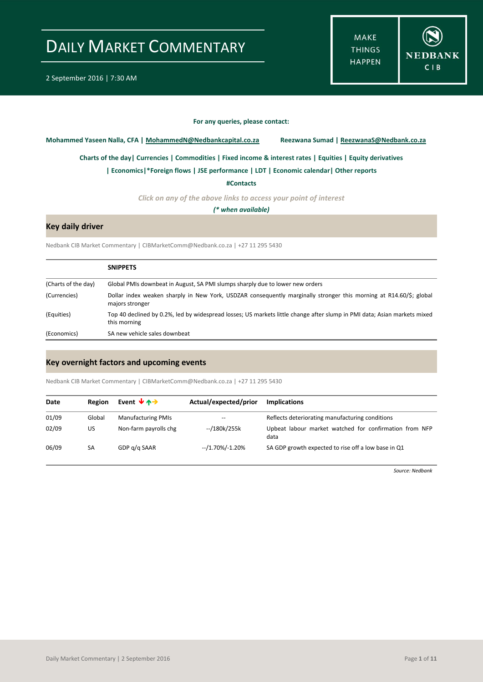**MAKE THINGS HAPPEN** 



#### **For any queries, please contact:**

<span id="page-0-0"></span>**Mohammed Yaseen Nalla, CFA | MohammedN@Nedbankcapital.co.za Reezwana Sumad | ReezwanaS@Nedbank.co.za**

**[Charts of the day|](#page-1-0) [Currencies](#page-2-0) [| Commodities](#page-3-0) | [Fixed income & interest rates](#page-4-0) [| Equities](#page-5-0) | Equity derivatives**

**[| Economics|](#page-6-0)\*Foreign flows | [JSE performance](#page-7-0) [| LDT](#page-8-0) [| Economic calendar|](#page-6-1) Other reports** 

**[#Contacts](#page-9-0)**

*Click on any of the above links to access your point of interest*

*(\* when available)*

#### **Key daily driver**

Nedbank CIB Market Commentary | CIBMarketComm@Nedbank.co.za | +27 11 295 5430

|                     | <b>SNIPPETS</b>                                                                                                                          |
|---------------------|------------------------------------------------------------------------------------------------------------------------------------------|
| (Charts of the day) | Global PMIs downbeat in August, SA PMI slumps sharply due to lower new orders                                                            |
| (Currencies)        | Dollar index weaken sharply in New York, USDZAR consequently marginally stronger this morning at R14.60/\$; global<br>majors stronger    |
| (Equities)          | Top 40 declined by 0.2%, led by widespread losses; US markets little change after slump in PMI data; Asian markets mixed<br>this morning |
| (Economics)         | SA new vehicle sales downbeat                                                                                                            |

#### **Key overnight factors and upcoming events**

Nedbank CIB Market Commentary | CIBMarketComm@Nedbank.co.za | +27 11 295 5430

| Date  | Region | Event $\forall$ $\land \rightarrow$ | Actual/expected/prior | <b>Implications</b>                                            |
|-------|--------|-------------------------------------|-----------------------|----------------------------------------------------------------|
| 01/09 | Global | <b>Manufacturing PMIs</b>           | $- -$                 | Reflects deteriorating manufacturing conditions                |
| 02/09 | US     | Non-farm payrolls chg               | --/180k/255k          | Upbeat labour market watched for confirmation from NFP<br>data |
| 06/09 | SA     | GDP g/g SAAR                        | --/1.70%/-1.20%       | SA GDP growth expected to rise off a low base in Q1            |

*Source: Nedbank*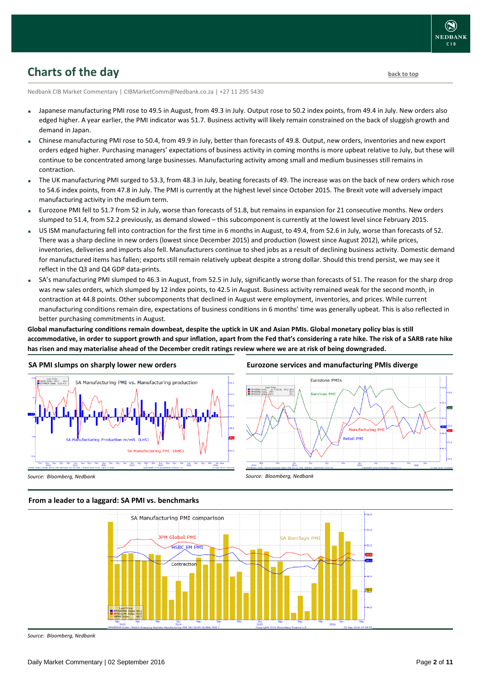

### <span id="page-1-0"></span>**Charts of the day** [back to top](#page-0-0) back to top

Nedbank CIB Market Commentary | CIBMarketComm@Nedbank.co.za | +27 11 295 5430

- Japanese manufacturing PMI rose to 49.5 in August, from 49.3 in July. Output rose to 50.2 index points, from 49.4 in July. New orders also edged higher. A year earlier, the PMI indicator was 51.7. Business activity will likely remain constrained on the back of sluggish growth and demand in Japan.
- Chinese manufacturing PMI rose to 50.4, from 49.9 in July, better than forecasts of 49.8. Output, new orders, inventories and new export orders edged higher. Purchasing managers' expectations of business activity in coming months is more upbeat relative to July, but these will continue to be concentrated among large businesses. Manufacturing activity among small and medium businesses still remains in contraction.
- The UK manufacturing PMI surged to 53.3, from 48.3 in July, beating forecasts of 49. The increase was on the back of new orders which rose to 54.6 index points, from 47.8 in July. The PMI is currently at the highest level since October 2015. The Brexit vote will adversely impact manufacturing activity in the medium term.
- Eurozone PMI fell to 51.7 from 52 in July, worse than forecasts of 51.8, but remains in expansion for 21 consecutive months. New orders slumped to 51.4, from 52.2 previously, as demand slowed – this subcomponent is currently at the lowest level since February 2015.
- US ISM manufacturing fell into contraction for the first time in 6 months in August, to 49.4, from 52.6 in July, worse than forecasts of 52. There was a sharp decline in new orders (lowest since December 2015) and production (lowest since August 2012), while prices, inventories, deliveries and imports also fell. Manufacturers continue to shed jobs as a result of declining business activity. Domestic demand for manufactured items has fallen; exports still remain relatively upbeat despite a strong dollar. Should this trend persist, we may see it reflect in the Q3 and Q4 GDP data-prints.
- SA's manufacturing PMI slumped to 46.3 in August, from 52.5 in July, significantly worse than forecasts of 51. The reason for the sharp drop was new sales orders, which slumped by 12 index points, to 42.5 in August. Business activity remained weak for the second month, in contraction at 44.8 points. Other subcomponents that declined in August were employment, inventories, and prices. While current manufacturing conditions remain dire, expectations of business conditions in 6 months' time was generally upbeat. This is also reflected in better purchasing commitments in August.

**Global manufacturing conditions remain downbeat, despite the uptick in UK and Asian PMIs. Global monetary policy bias is still accommodative, in order to support growth and spur inflation, apart from the Fed that's considering a rate hike. The risk of a SARB rate hike has risen and may materialise ahead of the December credit ratings review where we are at risk of being downgraded.**



#### **SA PMI slumps on sharply lower new orders**





*Source: Bloomberg, Nedbank*

**Eurozone services and manufacturing PMIs diverge**



*Source: Bloomberg, Nedbank*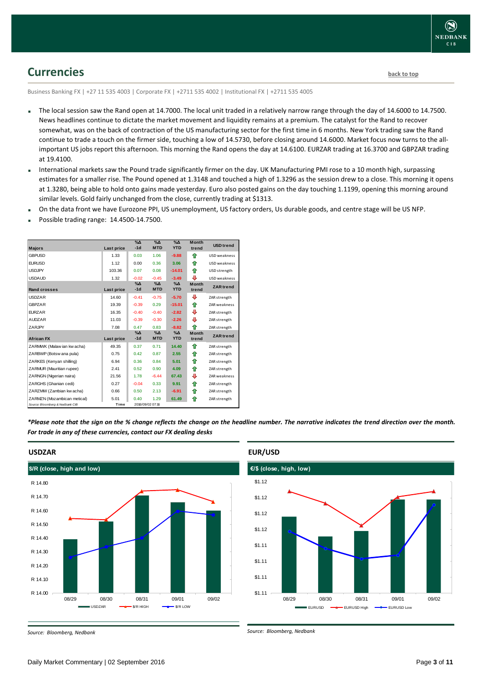

### <span id="page-2-0"></span>**Currencies [back to top](#page-0-0)**

Business Banking FX | +27 11 535 4003 | Corporate FX | +2711 535 4002 | Institutional FX | +2711 535 4005

- The local session saw the Rand open at 14.7000. The local unit traded in a relatively narrow range through the day of 14.6000 to 14.7500. News headlines continue to dictate the market movement and liquidity remains at a premium. The catalyst for the Rand to recover somewhat, was on the back of contraction of the US manufacturing sector for the first time in 6 months. New York trading saw the Rand continue to trade a touch on the firmer side, touching a low of 14.5730, before closing around 14.6000. Market focus now turns to the allimportant US jobs report this afternoon. This morning the Rand opens the day at 14.6100. EURZAR trading at 16.3700 and GBPZAR trading at 19.4100.
- International markets saw the Pound trade significantly firmer on the day. UK Manufacturing PMI rose to a 10 month high, surpassing estimates for a smaller rise. The Pound opened at 1.3148 and touched a high of 1.3296 as the session drew to a close. This morning it opens at 1.3280, being able to hold onto gains made yesterday. Euro also posted gains on the day touching 1.1199, opening this morning around similar levels. Gold fairly unchanged from the close, currently trading at \$1313.
- On the data front we have Eurozone PPI, US unemployment, US factory orders, Us durable goods, and centre stage will be US NFP.
- Possible trading range: 14.4500-14.7500.

| <b>Majors</b>                   | Last price | $\%$ $\Delta$<br>$-1d$ | $\Delta_0$<br><b>MTD</b> | $\sqrt{\Delta}$<br><b>YTD</b> | <b>Month</b><br>trend | <b>USD</b> trend    |
|---------------------------------|------------|------------------------|--------------------------|-------------------------------|-----------------------|---------------------|
|                                 |            |                        |                          |                               |                       |                     |
| <b>GBPUSD</b>                   | 1.33       | 0.03                   | 1.06                     | $-9.88$                       | ⇑                     | <b>USD</b> weakness |
| <b>EURUSD</b>                   | 1.12       | 0.00                   | 0.36                     | 3.06                          | ♠                     | <b>USD</b> weakness |
| <b>USDJPY</b>                   | 103.36     | 0.07                   | 0.08                     | $-14.01$                      | ♠                     | USD strength        |
| <b>USDAUD</b>                   | 1.32       | $-0.02$                | $-0.45$                  | $-3.49$                       | ⊕                     | <b>USD</b> weakness |
| <b>Rand crosses</b>             | Last price | $% \Delta$<br>$-1d$    | %Д<br><b>MTD</b>         | $\Delta$<br><b>YTD</b>        | <b>Month</b><br>trend | <b>ZAR</b> trend    |
| <b>USDZAR</b>                   | 14.60      | $-0.41$                | $-0.75$                  | $-5.70$                       | ⊕                     | ZAR strength        |
| <b>GBPZAR</b>                   | 19.39      | $-0.39$                | 0.29                     | $-15.01$                      | ⇑                     | <b>ZAR</b> weakness |
| <b>FURZAR</b>                   | 16.35      | $-0.40$                | $-0.40$                  | $-2.82$                       | ⊕                     | ZAR strength        |
| <b>AUDZAR</b>                   | 11.03      | $-0.39$                | $-0.30$                  | $-2.26$                       | ⊕                     | ZAR strength        |
| ZARJPY                          | 7.08       | 0.47                   | 0.83                     | $-8.82$                       | ♠                     | ZAR strength        |
|                                 |            | $% \Delta$             | $\% \Delta$              | $\Delta_0$                    | <b>Month</b>          | <b>ZAR</b> trend    |
| <b>African FX</b>               | Last price | $-1d$                  | <b>MTD</b>               | <b>YTD</b>                    | trend                 |                     |
| ZARMWK (Malaw ian kw acha)      | 49.35      | 0.37                   | 0.71                     | 14.40                         | ♠                     | ZAR strength        |
| ZARBWP (Botsw ana pula)         | 0.75       | 0.42                   | 0.87                     | 2.55                          | ⇑                     | ZAR strength        |
| ZARKES (Kenyan shilling)        | 6.94       | 0.36                   | 0.84                     | 5.01                          | ⇑                     | ZAR strength        |
| ZARMUR (Mauritian rupee)        | 2.41       | 0.52                   | 0.90                     | 4.09                          | ⇑                     | ZAR strength        |
| ZARNGN (Nigerian naira)         | 21.56      | 1.78                   | $-6.44$                  | 67.43                         | ⊕                     | ZAR weakness        |
| ZARGHS (Ghanian cedi)           | 0.27       | $-0.04$                | 0.33                     | 9.91                          | ⇑                     | ZAR strength        |
| ZARZMW (Zambian kw acha)        | 0.66       | 0.50                   | 2.13                     | $-6.91$                       | ⇑                     | ZAR strength        |
| ZARMZN (Mozambican metical)     | 5.01       | 0.40                   | 1.29                     | 61.49                         | ♠                     | ZAR strength        |
| Source: Bloomberg & Nedbank CIB | Time       |                        | 2016/09/02 07:16         |                               |                       |                     |

*\*Please note that the sign on the % change reflects the change on the headline number. The narrative indicates the trend direction over the month. For trade in any of these currencies, contact our FX dealing desks*



#### **USDZAR**

*Source: Bloomberg, Nedbank*



*Source: Bloomberg, Nedbank*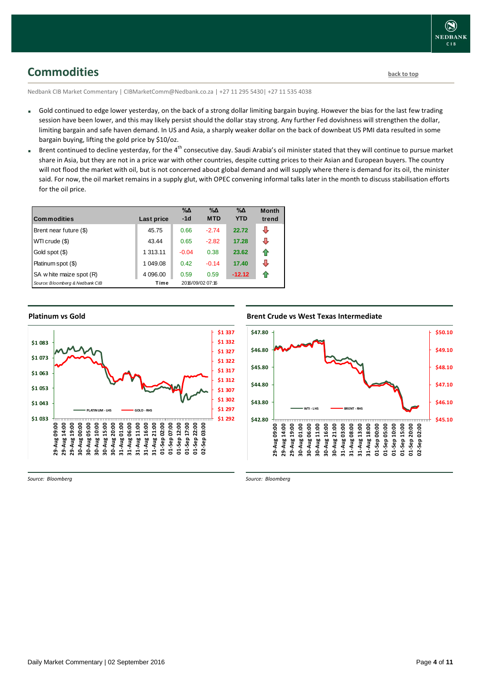## <span id="page-3-0"></span>**Commodities [back to top](#page-0-0)**

Nedbank CIB Market Commentary | CIBMarketComm@Nedbank.co.za | +27 11 295 5430| +27 11 535 4038

- Gold continued to edge lower yesterday, on the back of a strong dollar limiting bargain buying. However the bias for the last few trading session have been lower, and this may likely persist should the dollar stay strong. Any further Fed dovishness will strengthen the dollar, limiting bargain and safe haven demand. In US and Asia, a sharply weaker dollar on the back of downbeat US PMI data resulted in some bargain buying, lifting the gold price by \$10/oz.
- Brent continued to decline vesterday, for the 4<sup>th</sup> consecutive day. Saudi Arabia's oil minister stated that they will continue to pursue market share in Asia, but they are not in a price war with other countries, despite cutting prices to their Asian and European buyers. The country will not flood the market with oil, but is not concerned about global demand and will supply where there is demand for its oil, the minister said. For now, the oil market remains in a supply glut, with OPEC convening informal talks later in the month to discuss stabilisation efforts for the oil price.

| <b>Commodities</b>              | Last price   | $\% \Delta$<br>$-1d$ | %Δ<br><b>MTD</b> | %Δ<br><b>YTD</b> | <b>Month</b><br>trend |
|---------------------------------|--------------|----------------------|------------------|------------------|-----------------------|
| Brent near future (\$)          | 45.75        | 0.66                 | $-2.74$          | 22.72            | ⊕                     |
| WTI crude (\$)                  | 43.44        | 0.65                 | $-2.82$          | 17.28            | ⊕                     |
| Gold spot (\$)                  | 1 313.11     | $-0.04$              | 0.38             | 23.62            | ⇑                     |
| Platinum spot (\$)              | 1 049.08     | 0.42                 | $-0.14$          | 17.40            | ⊕                     |
| SA w hite maize spot (R)        | 4 0 9 6 .0 0 | 0.59                 | 0.59             | $-12.12$         | ⇑                     |
| Source: Bloomberg & Nedbank CIB | Time         |                      | 2016/09/02 07:16 |                  |                       |

### **Platinum vs Gold Platinum vs. Gold**





**Brent Crude vs West Texas Intermediate Brent Crude vs West Texas Intermediate** 



*Source: Bloomberg*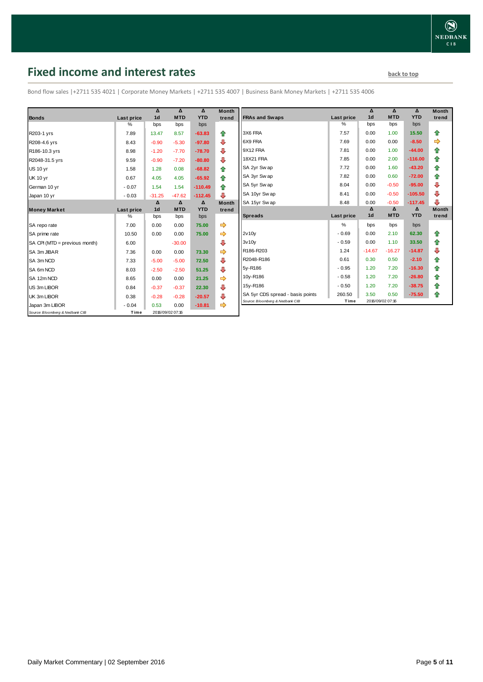## <span id="page-4-0"></span>**Fixed income and interest rates back to the line of the set of the set of the set of the set of the set of the set of the set of the set of the set of the set of the set of the set of the set of the set of the set of th**

Bond flow sales |+2711 535 4021 | Corporate Money Markets | +2711 535 4007 | Business Bank Money Markets | +2711 535 4006

| <b>Bonds</b>                    |                           | Δ<br>1 <sub>d</sub> | Δ<br><b>MTD</b>  | Δ<br><b>YTD</b> | <b>Month</b> |
|---------------------------------|---------------------------|---------------------|------------------|-----------------|--------------|
|                                 | <b>Last price</b><br>$\%$ | bps                 | bps              | bps             | trend        |
| R203-1 yrs                      | 7.89                      | 13.47               | 8.57             | $-63.83$        | ⇑            |
| R208-4.6 yrs                    | 8.43                      | $-0.90$             | $-5.30$          | $-97.80$        | ⊕            |
| R186-10.3 yrs                   | 8.98                      | $-1.20$             | $-7.70$          | $-78.70$        | ⊕            |
| R2048-31.5 yrs                  | 9.59                      | $-0.90$             | $-7.20$          | $-80.80$        | ⊕            |
| <b>US 10 vr</b>                 | 1.58                      | 1.28                | 0.08             | $-68.82$        | ⇑            |
| <b>UK 10 yr</b>                 | 0.67                      | 4.05                | 4.05             | $-65.92$        | ⇑            |
| German 10 yr                    | $-0.07$                   | 1.54                | 1.54             | $-110.49$       | ⇑            |
| Japan 10 yr                     | $-0.03$                   | $-31.25$            | $-47.62$         | $-112.45$       | ⊕            |
|                                 |                           | Δ                   | Δ                | Δ               | <b>Month</b> |
| <b>Money Market</b>             | Last price                | 1 <sub>d</sub>      | <b>MTD</b>       | <b>YTD</b>      | trend        |
|                                 | $\frac{9}{6}$             | bps                 | bps              | bps             |              |
| SA repo rate                    | 7.00                      | 0.00                | 0.00             | 75.00           | ⇛            |
| SA prime rate                   | 10.50                     | 0.00                | 0.00             | 75.00           | ➾            |
| SA CPI (MTD = previous month)   | 6.00                      |                     | $-30.00$         |                 | ⊕            |
| SA 3m JIBAR                     | 7.36                      | 0.00                | 0.00             | 73.30           |              |
| SA 3m NCD                       | 7.33                      | $-5.00$             | $-5.00$          | 72.50           | ⊕            |
| SA 6m NCD                       | 8.03                      | $-2.50$             | $-2.50$          | 51.25           | ⊕            |
| SA 12m NCD                      | 8.65                      | 0.00                | 0.00             | 21.25           | ⇛            |
| US 3m LIBOR                     | 0.84                      | $-0.37$             | $-0.37$          | 22.30           | ⊕            |
| UK 3m LIBOR                     | 0.38                      | $-0.28$             | $-0.28$          | $-20.57$        | ⊕            |
| Japan 3m LIBOR                  | $-0.04$                   | 0.53                | 0.00             | $-10.81$        | ⇛            |
| Source: Bloomberg & Nedbank CIB | Time                      |                     | 2016/09/02 07:16 |                 |              |

| Month<br>trend | <b>FRAs and Swaps</b>            | Last price    | Δ<br>1 <sub>d</sub> | Δ<br><b>MTD</b> | Δ<br><b>YTD</b> | <b>Month</b><br>trend |
|----------------|----------------------------------|---------------|---------------------|-----------------|-----------------|-----------------------|
|                |                                  | $\%$          | bps                 | bps             | bps             |                       |
| ✿              | 3X6 FRA                          | 7.57          | 0.00                | 1.00            | 15.50           | ⇑                     |
| ⊕              | 6X9 FRA                          | 7.69          | 0.00                | 0.00            | $-8.50$         | ⇛                     |
| ⊕              | 9X12 FRA                         | 7.81          | 0.00                | 1.00            | $-44.00$        | 合                     |
| ⊕              | <b>18X21 FRA</b>                 | 7.85          | 0.00                | 2.00            | $-116.00$       | 合                     |
| 合              | SA 2yr Sw ap                     | 7.72          | 0.00                | 1.60            | $-43.20$        | 合                     |
| ⇮              | SA 3yr Swap                      | 7.82          | 0.00                | 0.60            | $-72.00$        | 合                     |
| ⇑              | SA 5yr Swap                      | 8.04          | 0.00                | $-0.50$         | $-95.00$        | ⊕                     |
| ⊕              | SA 10yr Swap                     | 8.41          | 0.00                | $-0.50$         | $-105.50$       | ⊕                     |
| Month          | SA 15yr Swap                     | 8.48          | 0.00                | $-0.50$         | $-117.45$       | ⊕                     |
| trend          |                                  |               | Δ                   | Δ               | Δ               | <b>Month</b>          |
|                |                                  |               |                     |                 |                 |                       |
|                | <b>Spreads</b>                   | Last price    | 1 <sub>d</sub>      | <b>MTD</b>      | <b>YTD</b>      | trend                 |
| ⇛              |                                  | $\frac{9}{6}$ | bps                 | bps             | bps             |                       |
| ⇛              | 2v10v                            | $-0.69$       | 0.00                | 2.10            | 62.30           | ⇑                     |
| ⊕              | 3v10v                            | $-0.59$       | 0.00                | 1.10            | 33.50           | ⇑                     |
| ⇛              | R186-R203                        | 1.24          | $-14.67$            | $-16.27$        | $-14.87$        | ⊕                     |
|                | R2048-R186                       | 0.61          | 0.30                | 0.50            | $-2.10$         | 合                     |
| ⊕              | 5y-R186                          | $-0.95$       | 1.20                | 7.20            | $-16.30$        | ⇮                     |
| ⊕<br>⇛         | 10y-R186                         | $-0.58$       | 1.20                | 7.20            | $-26.80$        | 合                     |
|                | 15y-R186                         | $-0.50$       | 1.20                | 7.20            | $-38.75$        | 合                     |
| ⊕<br>⊕         | SA 5yr CDS spread - basis points | 260.50        | 3.50                | 0.50            | $-75.50$        | ✿                     |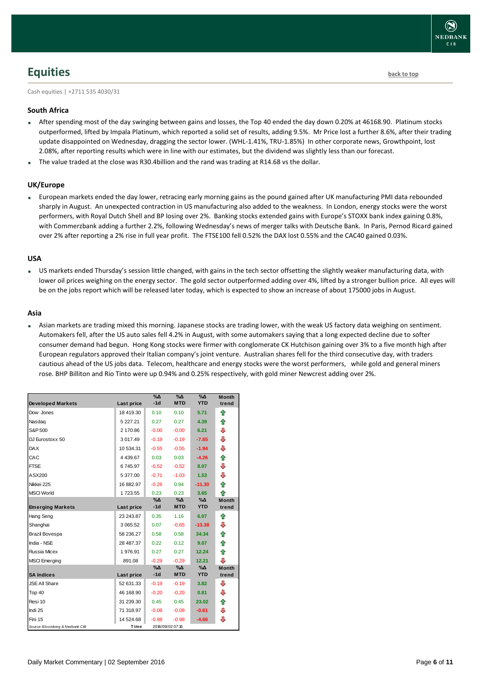### <span id="page-5-0"></span>**Equities [back to top](#page-0-0)**

Cash equities | +2711 535 4030/31

#### **South Africa**

- After spending most of the day swinging between gains and losses, the Top 40 ended the day down 0.20% at 46168.90. Platinum stocks outperformed, lifted by Impala Platinum, which reported a solid set of results, adding 9.5%. Mr Price lost a further 8.6%, after their trading update disappointed on Wednesday, dragging the sector lower. (WHL-1.41%, TRU-1.85%) In other corporate news, Growthpoint, lost 2.08%, after reporting results which were in line with our estimates, but the dividend was slightly less than our forecast.
- The value traded at the close was R30.4billion and the rand was trading at R14.68 vs the dollar.

#### **UK/Europe**

 European markets ended the day lower, retracing early morning gains as the pound gained after UK manufacturing PMI data rebounded sharply in August. An unexpected contraction in US manufacturing also added to the weakness. In London, energy stocks were the worst performers, with Royal Dutch Shell and BP losing over 2%. Banking stocks extended gains with Europe's STOXX bank index gaining 0.8%, with Commerzbank adding a further 2.2%, following Wednesday's news of merger talks with Deutsche Bank. In Paris, Pernod Ricard gained over 2% after reporting a 2% rise in full year profit. The FTSE100 fell 0.52% the DAX lost 0.55% and the CAC40 gained 0.03%.

#### **USA**

 US markets ended Thursday's session little changed, with gains in the tech sector offsetting the slightly weaker manufacturing data, with lower oil prices weighing on the energy sector. The gold sector outperformed adding over 4%, lifted by a stronger bullion price. All eyes will be on the jobs report which will be released later today, which is expected to show an increase of about 175000 jobs in August.

#### **Asia**

 Asian markets are trading mixed this morning. Japanese stocks are trading lower, with the weak US factory data weighing on sentiment. Automakers fell, after the US auto sales fell 4.2% in August, with some automakers saying that a long expected decline due to softer consumer demand had begun. Hong Kong stocks were firmer with conglomerate CK Hutchison gaining over 3% to a five month high after European regulators approved their Italian company's joint venture. Australian shares fell for the third consecutive day, with traders cautious ahead of the US jobs data. Telecom, healthcare and energy stocks were the worst performers, while gold and general miners rose. BHP Billiton and Rio Tinto were up 0.94% and 0.25% respectively, with gold miner Newcrest adding over 2%.

|                                 |             | $\% \Delta$ | %Δ               | %Δ            | Month        |
|---------------------------------|-------------|-------------|------------------|---------------|--------------|
| <b>Developed Markets</b>        | Last price  | $-1d$       | <b>MTD</b>       | <b>YTD</b>    | trend        |
| Dow Jones                       | 18 419.30   | 0.10        | 0.10             | 5.71          | ♠            |
| Nasdag                          | 5 227.21    | 0.27        | 0.27             | 4.39          | ⇮            |
| S&P 500                         | 2 170.86    | $-0.00$     | $-0.00$          | 6.21          | ⊕            |
| DJ Eurostoxx 50                 | 3 017.49    | $-0.19$     | $-0.19$          | $-7.65$       | ⊕            |
| <b>DAX</b>                      | 10 534.31   | $-0.55$     | $-0.55$          | $-1.94$       | ⊕            |
| CAC                             | 4 4 3 9.6 7 | 0.03        | 0.03             | $-4.26$       | ⇑            |
| <b>FTSE</b>                     | 6745.97     | $-0.52$     | $-0.52$          | 8.07          | ⊕            |
| ASX200                          | 5 377.00    | $-0.71$     | $-1.03$          | 1.53          | ⊕            |
| Nikkei 225                      | 16 882.97   | $-0.26$     | 0.94             | $-11.30$      | ⇑            |
| <b>MSCI World</b>               | 1723.55     | 0.23        | 0.23             | 3.65          | ⇑            |
|                                 |             | %Δ          | %Д               | $\%$ $\Delta$ | <b>Month</b> |
| <b>Emerging Markets</b>         | Last price  | $-1d$       | <b>MTD</b>       | <b>YTD</b>    | trend        |
| Hang Seng                       | 23 243.87   | 0.35        | 1.16             | 6.07          | ⇑            |
| Shanghai                        | 3 065.52    | 0.07        | $-0.65$          | $-13.38$      | ⊕            |
| Brazil Bovespa                  | 58 236.27   | 0.58        | 0.58             | 34.34         | ⇑            |
| India - NSE                     | 28 487.37   | 0.22        | 0.12             | 9.07          | ⇑            |
| <b>Russia Micex</b>             | 1976.91     | 0.27        | 0.27             | 12.24         | ⇑            |
| <b>MSCI</b> Emerging            | 891.08      | $-0.29$     | $-0.29$          | 12.21         | ⊕            |
|                                 |             | %∆          | %Д               | %Δ            | <b>Month</b> |
| <b>SA Indices</b>               | Last price  | $-1d$       | <b>MTD</b>       | <b>YTD</b>    | trend        |
| <b>JSE All Share</b>            | 52 631.33   | $-0.19$     | $-0.19$          | 3.82          | ⊕            |
| Top 40                          | 46 168.90   | $-0.20$     | $-0.20$          | 0.81          | ⊕            |
| Resi 10                         | 31 239.30   | 0.45        | 0.45             | 23.02         | ⇮            |
| Indi 25                         | 71 318.97   | $-0.08$     | $-0.08$          | $-0.61$       | ⊕            |
| Fini 15                         | 14 524.68   | $-0.98$     | $-0.98$          | $-4.66$       | ⊕            |
| Source: Bloomberg & Nedbank CIB | Time        |             | 2016/09/02 07:16 |               |              |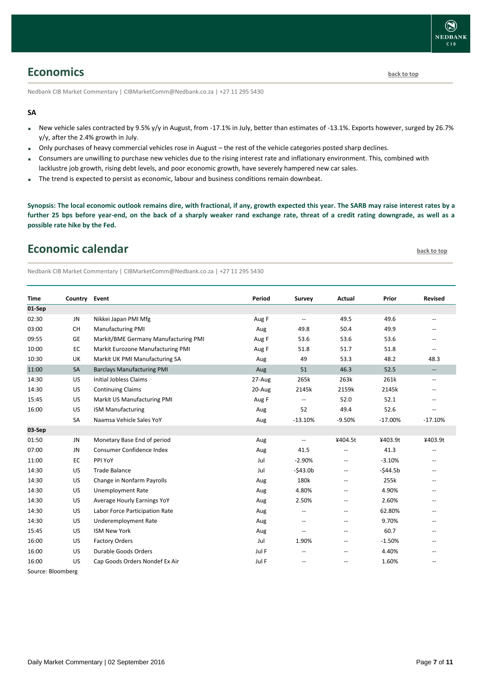### <span id="page-6-0"></span>**Economics [back to top](#page-0-0)**

Nedbank CIB Market Commentary | CIBMarketComm@Nedbank.co.za | +27 11 295 5430

#### **SA**

- New vehicle sales contracted by 9.5% y/y in August, from -17.1% in July, better than estimates of -13.1%. Exports however, surged by 26.7% y/y, after the 2.4% growth in July.
- Only purchases of heavy commercial vehicles rose in August the rest of the vehicle categories posted sharp declines.
- Consumers are unwilling to purchase new vehicles due to the rising interest rate and inflationary environment. This, combined with lacklustre job growth, rising debt levels, and poor economic growth, have severely hampered new car sales.
- The trend is expected to persist as economic, labour and business conditions remain downbeat.

**Synopsis: The local economic outlook remains dire, with fractional, if any, growth expected this year. The SARB may raise interest rates by a further 25 bps before year-end, on the back of a sharply weaker rand exchange rate, threat of a credit rating downgrade, as well as a possible rate hike by the Fed.**

### <span id="page-6-1"></span>**Economic calendar [back to top](#page-0-0)**

Nedbank CIB Market Commentary | CIBMarketComm@Nedbank.co.za | +27 11 295 5430

| <b>Time</b>       | Country Event |                                      | Period | <b>Survey</b>            | Actual                   | Prior     | <b>Revised</b>           |
|-------------------|---------------|--------------------------------------|--------|--------------------------|--------------------------|-----------|--------------------------|
| 01-Sep            |               |                                      |        |                          |                          |           |                          |
| 02:30             | JN            | Nikkei Japan PMI Mfg                 | Aug F  | $\overline{\phantom{a}}$ | 49.5                     | 49.6      | $\hspace{0.05cm} -$      |
| 03:00             | CH            | <b>Manufacturing PMI</b>             | Aug    | 49.8                     | 50.4                     | 49.9      | $\overline{\phantom{a}}$ |
| 09:55             | GE            | Markit/BME Germany Manufacturing PMI | Aug F  | 53.6                     | 53.6                     | 53.6      | $\hspace{0.05cm} -$      |
| 10:00             | EC            | Markit Eurozone Manufacturing PMI    | Aug F  | 51.8                     | 51.7                     | 51.8      | $\mathbf{u}$             |
| 10:30             | UK            | Markit UK PMI Manufacturing SA       | Aug    | 49                       | 53.3                     | 48.2      | 48.3                     |
| 11:00             | SA            | <b>Barclays Manufacturing PMI</b>    | Aug    | 51                       | 46.3                     | 52.5      | $\overline{\phantom{a}}$ |
| 14:30             | US.           | <b>Initial Jobless Claims</b>        | 27-Aug | 265k                     | 263k                     | 261k      | $\overline{\phantom{a}}$ |
| 14:30             | US            | <b>Continuing Claims</b>             | 20-Aug | 2145k                    | 2159k                    | 2145k     | $\hspace{0.05cm} -$      |
| 15:45             | US.           | Markit US Manufacturing PMI          | Aug F  | $\overline{\phantom{a}}$ | 52.0                     | 52.1      | $\hspace{0.05cm} -$      |
| 16:00             | US            | <b>ISM Manufacturing</b>             | Aug    | 52                       | 49.4                     | 52.6      | $\overline{\phantom{a}}$ |
|                   | <b>SA</b>     | Naamsa Vehicle Sales YoY             | Aug    | $-13.10%$                | $-9.50%$                 | $-17.00%$ | $-17.10%$                |
| 03-Sep            |               |                                      |        |                          |                          |           |                          |
| 01:50             | <b>JN</b>     | Monetary Base End of period          | Aug    | $\overline{\phantom{a}}$ | ¥404.5t                  | ¥403.9t   | ¥403.9t                  |
| 07:00             | JN            | Consumer Confidence Index            | Aug    | 41.5                     | $\overline{\phantom{a}}$ | 41.3      | $\overline{a}$           |
| 11:00             | EC            | PPI YoY                              | Jul    | $-2.90%$                 | $\overline{a}$           | $-3.10%$  | $\overline{a}$           |
| 14:30             | US            | <b>Trade Balance</b>                 | Jul    | $-543.0b$                | --                       | $-544.5b$ | $\overline{\phantom{a}}$ |
| 14:30             | US            | Change in Nonfarm Payrolls           | Aug    | 180k                     | $\overline{\phantom{a}}$ | 255k      | $\overline{\phantom{a}}$ |
| 14:30             | US            | <b>Unemployment Rate</b>             | Aug    | 4.80%                    | --                       | 4.90%     | $\hspace{0.05cm} -$      |
| 14:30             | US            | Average Hourly Earnings YoY          | Aug    | 2.50%                    | --                       | 2.60%     | $\overline{\phantom{a}}$ |
| 14:30             | US            | Labor Force Participation Rate       | Aug    | --                       | $\qquad \qquad -$        | 62.80%    | $\overline{\phantom{a}}$ |
| 14:30             | US            | Underemployment Rate                 | Aug    | $\overline{\phantom{a}}$ | $\overline{\phantom{a}}$ | 9.70%     | $\overline{\phantom{a}}$ |
| 15:45             | US.           | <b>ISM New York</b>                  | Aug    | $\overline{\phantom{a}}$ | $\qquad \qquad -$        | 60.7      | $\overline{\phantom{a}}$ |
| 16:00             | US            | <b>Factory Orders</b>                | Jul    | 1.90%                    | $\overline{a}$           | $-1.50%$  | $\overline{a}$           |
| 16:00             | US            | Durable Goods Orders                 | Jul F  | $\sim$                   | $-$                      | 4.40%     | $\hspace{0.05cm} -$      |
| 16:00             | US            | Cap Goods Orders Nondef Ex Air       | Jul F  |                          | --                       | 1.60%     | $\overline{\phantom{a}}$ |
| Source: Bloomberg |               |                                      |        |                          |                          |           |                          |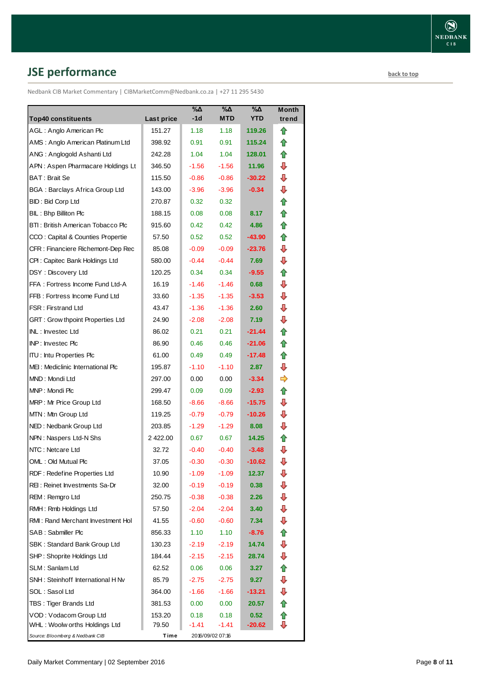# <span id="page-7-0"></span>**JSE performance [back to top](#page-0-0)**

Nedbank CIB Market Commentary | CIBMarketComm@Nedbank.co.za | +27 11 295 5430

| <b>Top40 constituents</b>             | <b>Last price</b> | %Δ<br>$-1d$ | %Δ<br><b>MTD</b> | %Δ<br><b>YTD</b> | Month<br>trend |
|---------------------------------------|-------------------|-------------|------------------|------------------|----------------|
| AGL: Anglo American Plc               | 151.27            | 1.18        | 1.18             | 119.26           | ✿              |
| AMS: Anglo American Platinum Ltd      | 398.92            | 0.91        | 0.91             | 115.24           | ⇑              |
| ANG: Anglogold Ashanti Ltd            | 242.28            | 1.04        | 1.04             | 128.01           | ⇑              |
| APN: Aspen Pharmacare Holdings Lt     | 346.50            | $-1.56$     | $-1.56$          | 11.96            | ⇩              |
| BAT: Brait Se                         | 115.50            | $-0.86$     | $-0.86$          | $-30.22$         | ⇩              |
| <b>BGA: Barclays Africa Group Ltd</b> | 143.00            | $-3.96$     | $-3.96$          | $-0.34$          | ⇩              |
| <b>BID: Bid Corp Ltd</b>              | 270.87            | 0.32        | 0.32             |                  | ✿              |
| BIL: Bhp Billiton Plc                 | 188.15            | 0.08        | 0.08             | 8.17             | ⇑              |
| BTI: British American Tobacco Plc     | 915.60            | 0.42        | 0.42             | 4.86             | ⇑              |
| CCO: Capital & Counties Propertie     | 57.50             | 0.52        | 0.52             | -43.90           | ⇑              |
| CFR : Financiere Richemont-Dep Rec    | 85.08             | $-0.09$     | $-0.09$          | $-23.76$         | ⇩              |
| CPI: Capitec Bank Holdings Ltd        | 580.00            | $-0.44$     | $-0.44$          | 7.69             | ⇩              |
| DSY: Discovery Ltd                    | 120.25            | 0.34        | 0.34             | -9.55            | ⇮              |
| FFA: Fortress Income Fund Ltd-A       | 16.19             | $-1.46$     | $-1.46$          | 0.68             | ⇩              |
| FFB: Fortress Income Fund Ltd         | 33.60             | $-1.35$     | $-1.35$          | $-3.53$          | ⇩              |
| <b>FSR: Firstrand Ltd</b>             | 43.47             | $-1.36$     | $-1.36$          | 2.60             | ⇩              |
| GRT : Grow thpoint Properties Ltd     | 24.90             | $-2.08$     | $-2.08$          | 7.19             | ⇩              |
| INL: Investec Ltd                     | 86.02             | 0.21        | 0.21             | -21.44           | ⇑              |
| INP: Investec Plc                     | 86.90             | 0.46        | 0.46             | $-21.06$         | ✿              |
| <b>ITU: Intu Properties Plc</b>       | 61.00             | 0.49        | 0.49             | $-17.48$         | ⇑              |
| MEI: Mediclinic International Plc     | 195.87            | $-1.10$     | $-1.10$          | 2.87             | ⇩              |
| MND: Mondi Ltd                        | 297.00            | 0.00        | 0.00             | $-3.34$          | ⇛              |
| MNP: Mondi Plc                        | 299.47            | 0.09        | 0.09             | $-2.93$          | ⇑              |
| MRP: Mr Price Group Ltd               | 168.50            | $-8.66$     | $-8.66$          | $-15.75$         | ⊕              |
| MTN: Mtn Group Ltd                    | 119.25            | $-0.79$     | $-0.79$          | $-10.26$         | ⊕              |
| NED: Nedbank Group Ltd                | 203.85            | $-1.29$     | $-1.29$          | 8.08             | ⇩              |
| NPN: Naspers Ltd-N Shs                | 2 422.00          | 0.67        | 0.67             | 14.25            | ⇑              |
| NTC: Netcare Ltd                      | 32.72             | $-0.40$     | $-0.40$          | $-3.48$          | ⇩              |
| OML: Old Mutual Plc                   | 37.05             | $-0.30$     | $-0.30$          | $-10.62$         | ⇩              |
| RDF: Redefine Properties Ltd          | 10.90             | $-1.09$     | $-1.09$          | 12.37            | ⇩              |
| REI: Reinet Investments Sa-Dr         | 32.00             | $-0.19$     | $-0.19$          | 0.38             | ⇩              |
| REM: Remgro Ltd                       | 250.75            | $-0.38$     | $-0.38$          | 2.26             | ⊕              |
| RMH: Rmb Holdings Ltd                 | 57.50             | $-2.04$     | $-2.04$          | 3.40             | ⊕              |
| RMI: Rand Merchant Investment Hol     | 41.55             | $-0.60$     | $-0.60$          | 7.34             | ⊕              |
| SAB: Sabmiller Plc                    | 856.33            | 1.10        | 1.10             | $-8.76$          | 合              |
| SBK: Standard Bank Group Ltd          | 130.23            | $-2.19$     | $-2.19$          | 14.74            | ⇩              |
| SHP: Shoprite Holdings Ltd            | 184.44            | $-2.15$     | $-2.15$          | 28.74            | ⇩              |
| SLM: Sanlam Ltd                       | 62.52             | 0.06        | 0.06             | 3.27             | ⇑              |
| SNH: Steinhoff International H Nv     | 85.79             | $-2.75$     | $-2.75$          | 9.27             | ⊕              |
| SOL: Sasol Ltd                        | 364.00            | $-1.66$     | $-1.66$          | -13.21           | ⇩              |
| TBS: Tiger Brands Ltd                 | 381.53            | 0.00        | 0.00             | 20.57            | 合              |
| VOD: Vodacom Group Ltd                | 153.20            | 0.18        | 0.18             | 0.52             | ⇮              |
| WHL: Woolw orths Holdings Ltd         | 79.50             | -1.41       | $-1.41$          | $-20.62$         | ⇩              |
| Source: Bloomberg & Nedbank CIB       | Time              |             | 2016/09/02 07:16 |                  |                |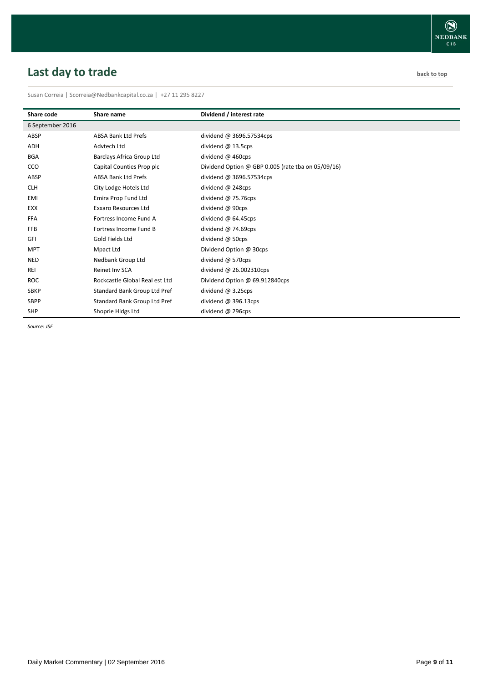## <span id="page-8-0"></span>**Last day to trade [back to](#page-0-0) the contract of the contract of the contract of the contract of the contract of the contract of the contract of the contract of the contract of the contract of the contract of the contract of t**

Susan Correia | [Scorreia@Nedbankcapital.co.za](mailto:Scorreia@Nedbankcapital.co.za) | +27 11 295 8227

| Share code       | Share name                     | Dividend / interest rate                           |
|------------------|--------------------------------|----------------------------------------------------|
| 6 September 2016 |                                |                                                    |
| ABSP             | <b>ABSA Bank Ltd Prefs</b>     | dividend @ 3696.57534cps                           |
| ADH              | Advtech Ltd                    | dividend $@$ 13.5cps                               |
| <b>BGA</b>       | Barclays Africa Group Ltd      | dividend $@$ 460cps                                |
| CCO              | Capital Counties Prop plc      | Dividend Option @ GBP 0.005 (rate tba on 05/09/16) |
| ABSP             | <b>ABSA Bank Ltd Prefs</b>     | dividend @ 3696.57534cps                           |
| <b>CLH</b>       | City Lodge Hotels Ltd          | dividend @ 248cps                                  |
| <b>EMI</b>       | Emira Prop Fund Ltd            | dividend $@75.76cps$                               |
| <b>EXX</b>       | <b>Exxaro Resources Ltd</b>    | dividend @ 90cps                                   |
| <b>FFA</b>       | Fortress Income Fund A         | dividend $@$ 64.45cps                              |
| <b>FFB</b>       | Fortress Income Fund B         | dividend $@74.69$ cps                              |
| GFI              | Gold Fields Ltd                | dividend @ 50cps                                   |
| <b>MPT</b>       | Mpact Ltd                      | Dividend Option @ 30cps                            |
| <b>NED</b>       | Nedbank Group Ltd              | dividend @ 570cps                                  |
| <b>REI</b>       | Reinet Inv SCA                 | dividend @ 26.002310cps                            |
| <b>ROC</b>       | Rockcastle Global Real est Ltd | Dividend Option @ 69.912840cps                     |
| <b>SBKP</b>      | Standard Bank Group Ltd Pref   | dividend $@3.25$ cps                               |
| <b>SBPP</b>      | Standard Bank Group Ltd Pref   | dividend $@396.13cps$                              |
| <b>SHP</b>       | Shoprie Hldgs Ltd              | dividend @ 296cps                                  |

*Source: JSE*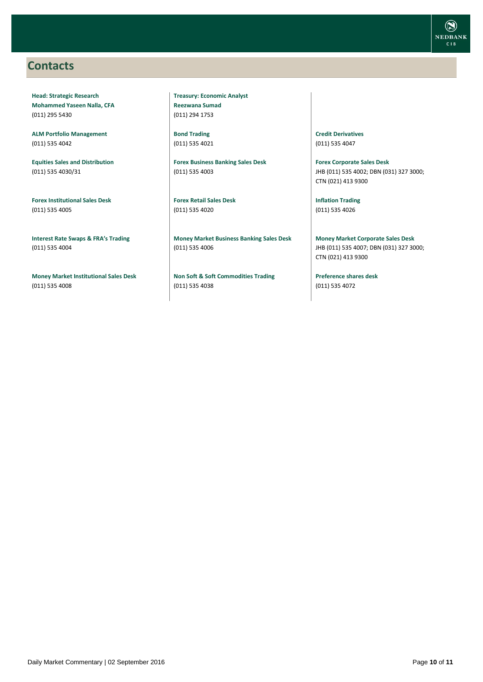### <span id="page-9-0"></span>**Contacts**

**Head: Strategic Research Mohammed Yaseen Nalla, CFA** (011) 295 5430

**ALM Portfolio Management** (011) 535 4042

**Equities Sales and Distribution** (011) 535 4030/31

**Forex Institutional Sales Desk** (011) 535 4005

**Interest Rate Swaps & FRA's Trading** (011) 535 4004

**Money Market Institutional Sales Desk** (011) 535 4008

**Treasury: Economic Analyst Reezwana Sumad** (011) 294 1753

**Bond Trading** (011) 535 4021

**Forex Business Banking Sales Desk** (011) 535 4003

**Forex Retail Sales Desk** (011) 535 4020

**Money Market Business Banking Sales Desk** (011) 535 4006

**Non Soft & Soft Commodities Trading** (011) 535 4038

**Credit Derivatives**  (011) 535 4047

**Forex Corporate Sales Desk** JHB (011) 535 4002; DBN (031) 327 3000; CTN (021) 413 9300

**Inflation Trading** (011) 535 4026

**Money Market Corporate Sales Desk** JHB (011) 535 4007; DBN (031) 327 3000; CTN (021) 413 9300

**Preference shares desk** (011) 535 4072